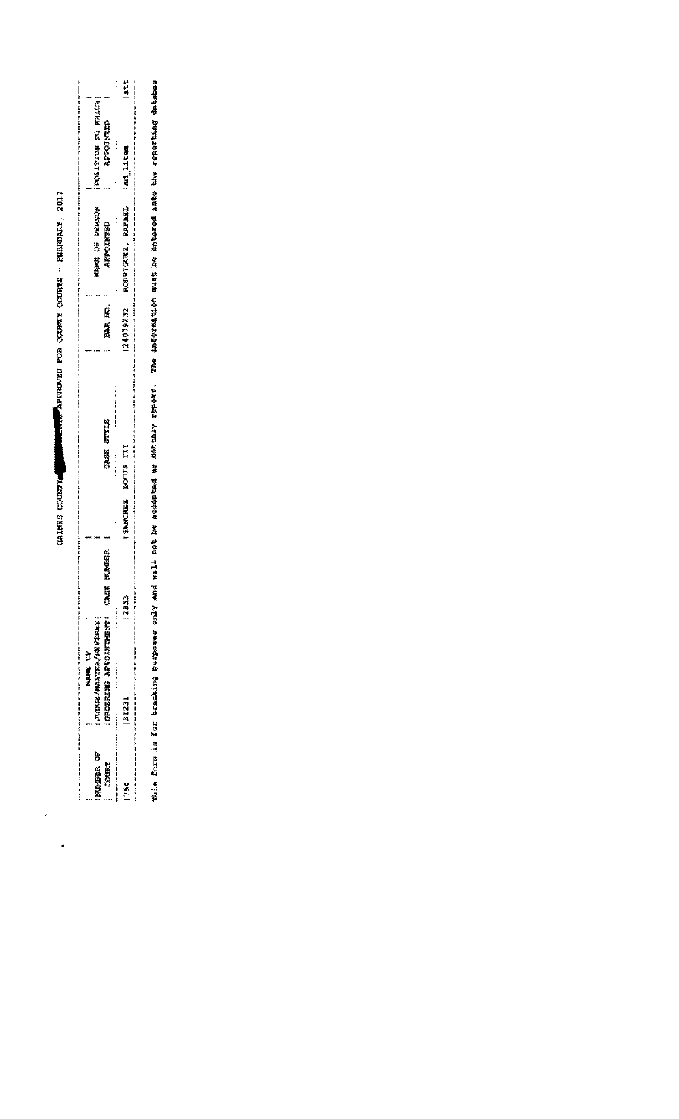**MERREAR FROM COMPONENTS - FEBRUARY, 2017 CALIFOLD SENTER** 

 $\ddot{\phantom{1}}$ 

 $\ddot{\phantom{0}}$ 

|                  | 200 经通货                      |               |                                |        |                  |                     |     |
|------------------|------------------------------|---------------|--------------------------------|--------|------------------|---------------------|-----|
| <b>WINDER OF</b> | JURISCE/MASTER/NAVER         |               |                                |        | OF PERSON<br>建筑模 | POSTTOM TO WHICH    |     |
| COORT            | <b>CROERING AS ARRITENT!</b> | umber<br>構好点し | STYTLE<br>33432                | 应答 無風氣 | ARROIMTED        | <b>CHEARS CALLS</b> |     |
|                  |                              |               |                                |        |                  |                     |     |
| ¥                | 31231                        | 2353          | III<br>LOUIS<br><b>GAACHEZ</b> |        |                  |                     | utt |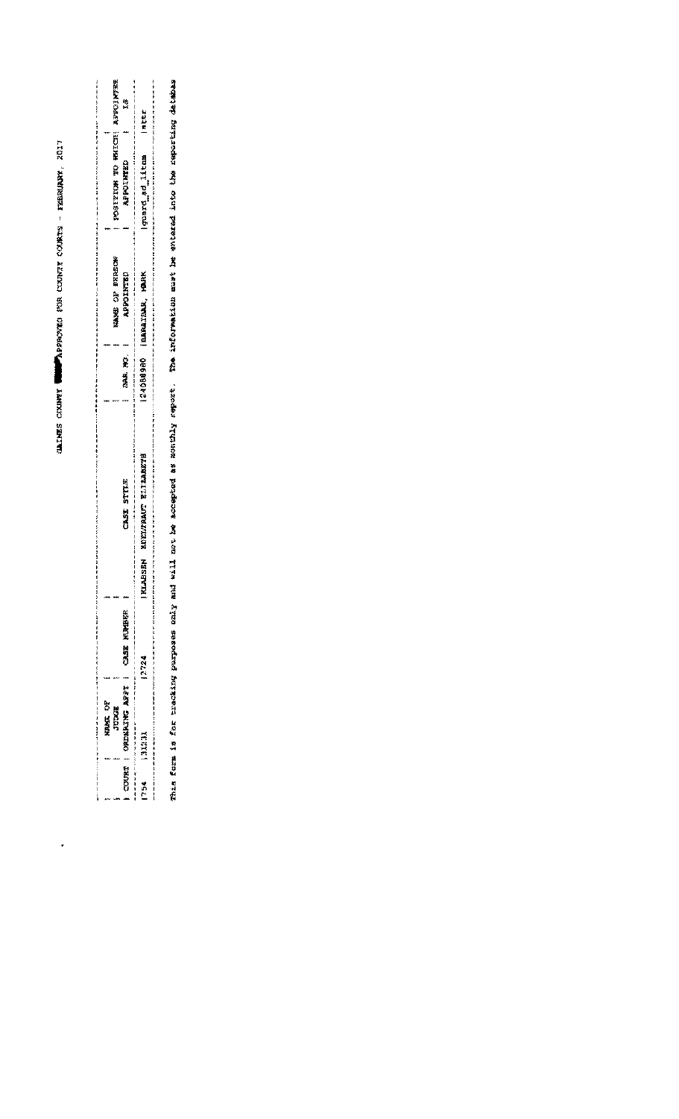CALLES CEUPET WEIGHTED FOR CODETY COURTS - FEBRUARY, 2017

 $\ddot{\phantom{0}}$ 

|                            | 総                                                                                                                  | 地名地名                                                                                                                    |
|----------------------------|--------------------------------------------------------------------------------------------------------------------|-------------------------------------------------------------------------------------------------------------------------|
| POSTFYXCH HEL HEL ASPENDED | <b>APPOINTED</b>                                                                                                   | <b>Iguard ad litem</b>                                                                                                  |
| KAME OF BERSON             | <b>ARRICISTED</b>                                                                                                  | 12406000 IBARAIBAR, MARK                                                                                                |
|                            | TAR NO.                                                                                                            |                                                                                                                         |
|                            | 和学校《《经会校》和书记书写》《经会会的时间时间》《经会会会校的书记》《《《经会会》第三十七月十七日》第五章第三十七月十七日,1988年1月1日,1988年1月1日,1989年1月1日,1989年1月<br>CASE STYLE | ,有事主要要求考试与【丨丨】此事事实要求不同下【七节要事要要要要要要要要要要要要要要要要要要要要要要的】其中,其中的事实要要要求的,但是要要要求受到的事实的,可以是<br><b>ELABSER WORKTARD EN BELEVE</b> |
|                            |                                                                                                                    |                                                                                                                         |
|                            | () 美容 M20 M20 取取                                                                                                   |                                                                                                                         |
| <b>RASE OF</b><br>TUESCH   | 种族族或 协会网络警察员第0 一、妇女2000                                                                                            | 1970年第1982年第1982年第1982年第2月1日,1982年第2082年第2月1日,1月11日,1月11日,1月11日,1月11日,1月11日,1月11日,1月11日,1月11日,1月11日,<br><b>TECTE</b>    |
|                            |                                                                                                                    |                                                                                                                         |

EPRE ETRITING THAS A the PAIRS PAIRS RATE RATE RATERS P PRESSENTED I PARTING I PARA SESSING RATERS DESCIPEDE DE PARANTENT DESCIPEDE DE PARANTENT DES A SALANTENT DES DES DES DE CALLES DE SALANTENT DE SALANTENT DE SALANTENT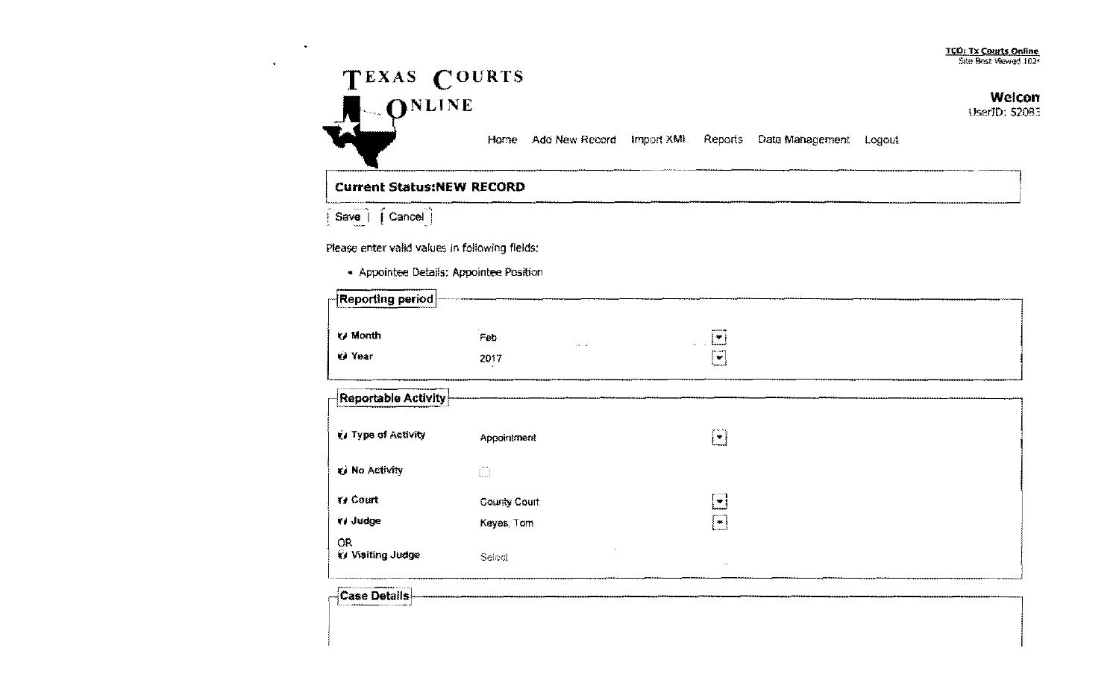## ItO: Tx Courts Online Site Best Viewed 102<sup>2</sup>



## **Current Status:NEW RECORD**

 $\widehat{\mathsf{I}}$  Save  $\widehat{\mathsf{I}}$   $\widehat{\mathsf{I}}$  Cancel  $\widehat{\mathsf{I}}$ 

Please enter valid values in following fields:

| • Appointee Details: Appointee Position |      |        |                                          |  |  |
|-----------------------------------------|------|--------|------------------------------------------|--|--|
| $\neg$ Reporting period $\neg$          |      |        |                                          |  |  |
| <b>Month</b>                            | Feb  | $\sim$ | AND A 200-PM<br>÷                        |  |  |
| <b>KJ Year</b>                          | 2017 |        | <b>39.1 LAPP</b><br>$\ddot{\phantom{1}}$ |  |  |

| $\frac{1}{2}$ Reportable Activity $\frac{1}{2}$ |                    |                                         |  |
|-------------------------------------------------|--------------------|-----------------------------------------|--|
| U Type of Activity                              | <b>Appointment</b> | printen et al.<br>أكا                   |  |
| U No Activity                                   | ñ                  |                                         |  |
| $Y \neq$ Court                                  | County Court       | $\blacksquare$                          |  |
| (v Judge                                        | Keyes, Torn        | . <b>.</b><br>$\lfloor \bullet \rfloor$ |  |
| <b>OR</b><br><b>&amp; Visiting Judge</b>        | Select             | $\mathbf{r}$                            |  |

 $~\blacksquare$   $~\blacksquare$   $~\blacksquare$   $~\blacksquare$   $~\blacksquare$   $~\blacksquare$   $~\blacksquare$   $~\blacksquare$   $~\blacksquare$   $~\blacksquare$   $~\blacksquare$   $~\blacksquare$   $~\blacksquare$   $~\blacksquare$   $~\blacksquare$   $~\blacksquare$   $~\blacksquare$   $~\blacksquare$   $~\blacksquare$   $~\blacksquare$   $~\blacksquare$   $~\blacksquare$   $~\blacksquare$   $~\blacksquare$   $~\blacksquare$   $~\blacksquare$   $~\blacksquare$   $~\blacks$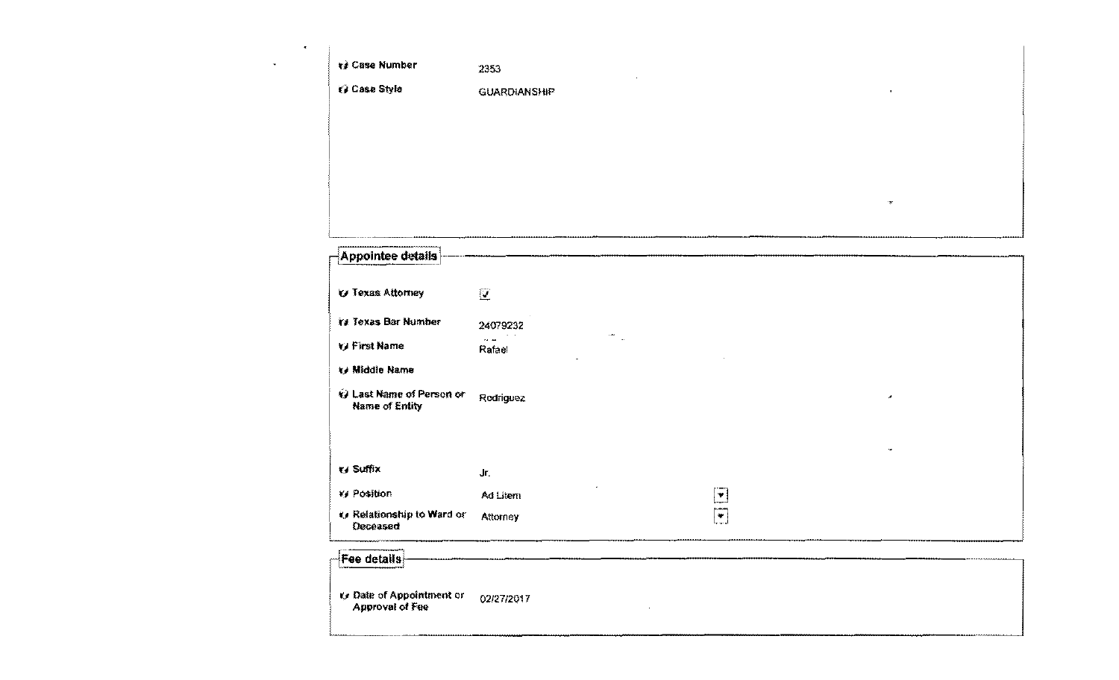| $\cdot$       |                     |                      |              |
|---------------|---------------------|----------------------|--------------|
| $\rightarrow$ | te Case Number      | 2353<br>$\mathbf{r}$ |              |
|               | <b>U</b> Case Style | <b>GUARDIANSHIP</b>  | $\mathbf{z}$ |
|               |                     |                      |              |
|               |                     |                      |              |
|               |                     |                      |              |
|               |                     |                      | region.      |
|               |                     |                      |              |

| Appointee details                            |                         |                                                         |                          |  |
|----------------------------------------------|-------------------------|---------------------------------------------------------|--------------------------|--|
|                                              |                         |                                                         |                          |  |
| <b>V</b> Texas Attorney                      | $\mathbf{Z}$            |                                                         |                          |  |
| Ya Toxas Bar Number                          | 24079232                |                                                         |                          |  |
| V First Name                                 | $\sim$ $\sim$<br>Rafael |                                                         |                          |  |
| Middle Name                                  |                         |                                                         |                          |  |
| @ Last Name of Person or<br>Name of Entity   | Rodriguez               |                                                         | $\overline{\phantom{a}}$ |  |
|                                              |                         |                                                         |                          |  |
|                                              |                         |                                                         |                          |  |
| ty Suffix                                    | Jr.                     |                                                         |                          |  |
| <b>Ky Position</b>                           | Ad Litern               | $\overline{\mathbf{r}}$                                 |                          |  |
| to Relationship to Ward or<br>Deceased       | Attorney                | $\left[\begin{matrix}\n\blacksquare\end{matrix}\right]$ |                          |  |
| <b>Fee details</b>                           |                         |                                                         |                          |  |
| ty Date of Appointment or<br>Approval of Fee | 02/27/2017              |                                                         |                          |  |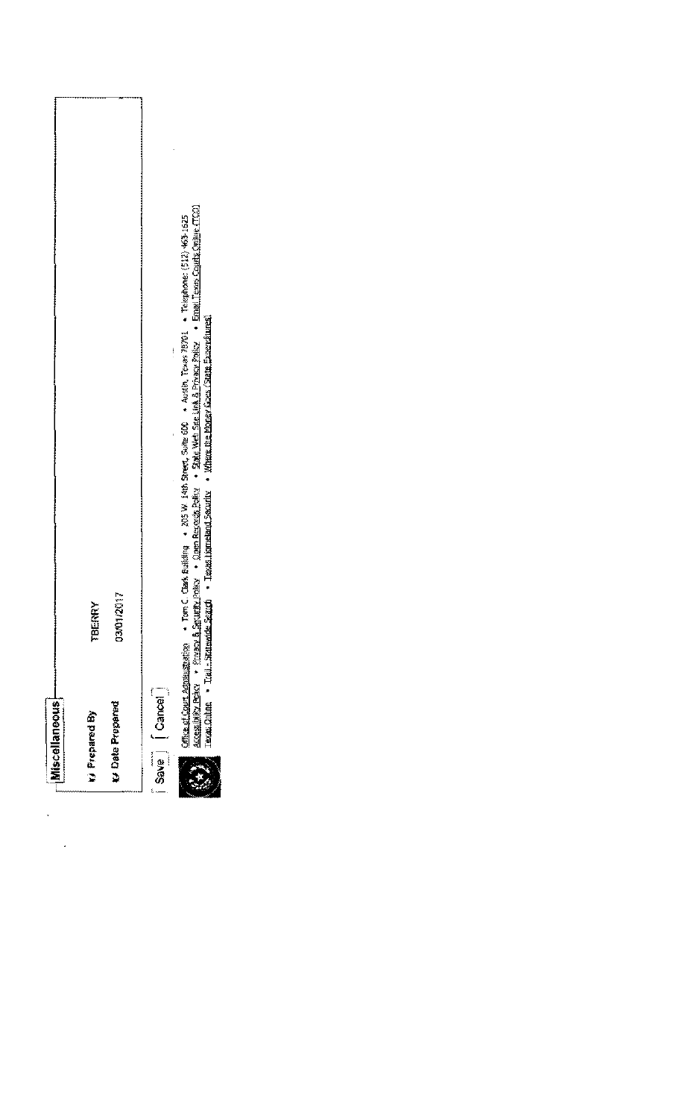| <b>Miscellaneous</b>   |            |
|------------------------|------------|
| <b>Ag patators (A</b>  | TBERRY     |
| <b>M</b> Date Prepared | 03/01/2017 |
| Foods (Cancel          |            |
|                        | ì          |

 $\ddot{\cdot}$ 

 $\ddot{\cdot}$ 

一支

Office of Court Administration • Torn C. Clark Building • 205 W. 14th Sneet, Suite 600 • Austin, Texas 78701 • Telephone: (512) 463-1625<br>Accessiblity Policy • Physov B. Security Policy • Quen Records Policy • State Web St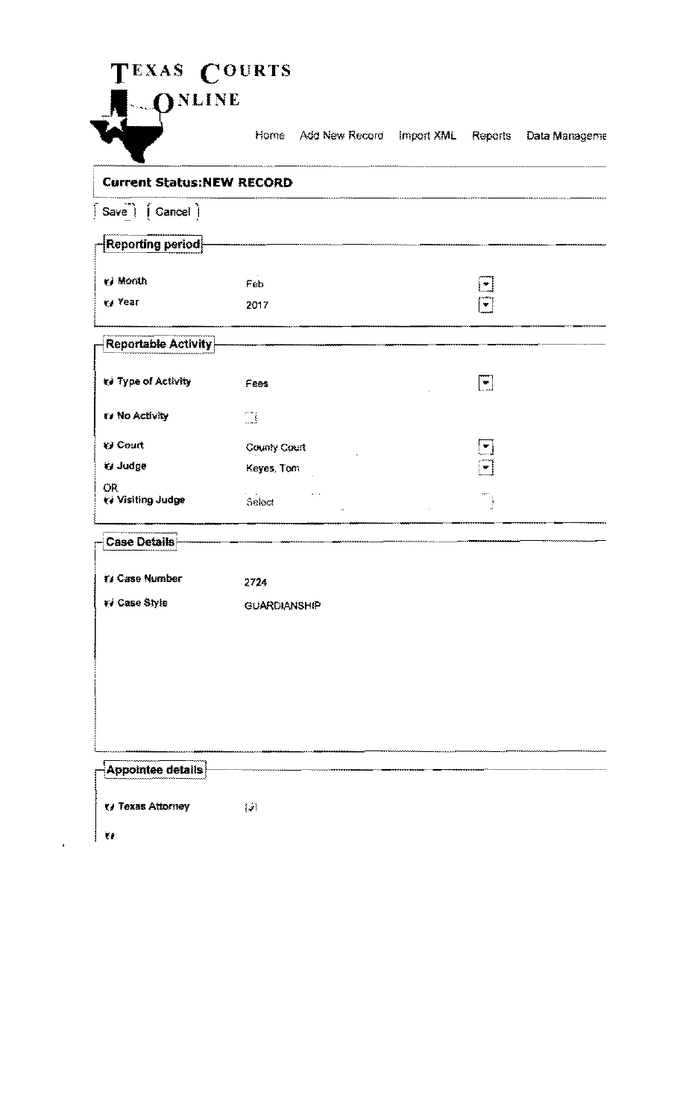|                                    | Home Add New Record | Import XML<br>Reports                                                   | Data Manageme |
|------------------------------------|---------------------|-------------------------------------------------------------------------|---------------|
| <b>Current Status:NEW RECORD</b>   |                     |                                                                         |               |
| $ $ Save $ $ $ $ Cancel $ $        |                     |                                                                         |               |
| Reporting period                   |                     |                                                                         |               |
| vi Month                           | Feb                 | $\bullet$                                                               |               |
| ₹/ Year                            | 2017                | ٠                                                                       |               |
| <b>Reportable Activity</b>         |                     |                                                                         |               |
| te Type of Activity                | Fees                | $ \bullet $                                                             |               |
| IV No Activity                     | $\mathbb{C}^*$      |                                                                         |               |
| <b>€</b> Court                     | County Court        | $\left[\begin{array}{c} \blacksquare \ \blacksquare \end{array}\right]$ |               |
| <b>V</b> Judge                     | Keyes, Tom          | $\blacksquare$                                                          |               |
| OR.<br>₹/ Visiting Judge           | Select              |                                                                         |               |
| <b>Case Details</b><br>----------- |                     |                                                                         |               |
| <b>El Case Number</b>              | 2724                |                                                                         |               |
| 14 Case Style                      | <b>GUARDIANSHIP</b> |                                                                         |               |
|                                    |                     |                                                                         |               |
|                                    |                     |                                                                         |               |

| -Appointee details<br><b><i><u>Sherrow American</u></i></b><br><b><i><u> MAAAHHHHHAAA</u></i></b> |   |
|---------------------------------------------------------------------------------------------------|---|
| <b>K/ Texas Attorney</b>                                                                          | M |